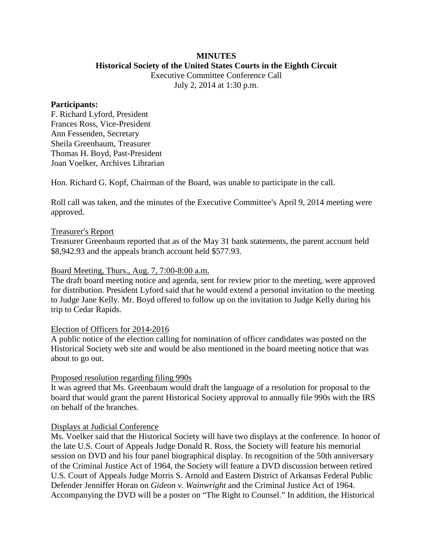# **MINUTES**

**Historical Society of the United States Courts in the Eighth Circuit** Executive Committee Conference Call

July 2, 2014 at 1:30 p.m.

## **Participants:**

F. Richard Lyford, President Frances Ross, Vice-President Ann Fessenden, Secretary Sheila Greenbaum, Treasurer Thomas H. Boyd, Past-President Joan Voelker, Archives Librarian

Hon. Richard G. Kopf, Chairman of the Board, was unable to participate in the call.

Roll call was taken, and the minutes of the Executive Committee's April 9, 2014 meeting were approved.

## Treasurer's Report

Treasurer Greenbaum reported that as of the May 31 bank statements, the parent account held \$8,942.93 and the appeals branch account held \$577.93.

### Board Meeting, Thurs., Aug. 7, 7:00-8:00 a.m.

The draft board meeting notice and agenda, sent for review prior to the meeting, were approved for distribution. President Lyford said that he would extend a personal invitation to the meeting to Judge Jane Kelly. Mr. Boyd offered to follow up on the invitation to Judge Kelly during his trip to Cedar Rapids.

## Election of Officers for 2014-2016

A public notice of the election calling for nomination of officer candidates was posted on the Historical Society web site and would be also mentioned in the board meeting notice that was about to go out.

#### Proposed resolution regarding filing 990s

It was agreed that Ms. Greenbaum would draft the language of a resolution for proposal to the board that would grant the parent Historical Society approval to annually file 990s with the IRS on behalf of the branches.

## Displays at Judicial Conference

Ms. Voelker said that the Historical Society will have two displays at the conference. In honor of the late U.S. Court of Appeals Judge Donald R. Ross, the Society will feature his memorial session on DVD and his four panel biographical display. In recognition of the 50th anniversary of the Criminal Justice Act of 1964, the Society will feature a DVD discussion between retired U.S. Court of Appeals Judge Morris S. Arnold and Eastern District of Arkansas Federal Public Defender Jenniffer Horan on *Gideon v. Wainwright* and the Criminal Justice Act of 1964. Accompanying the DVD will be a poster on "The Right to Counsel." In addition, the Historical